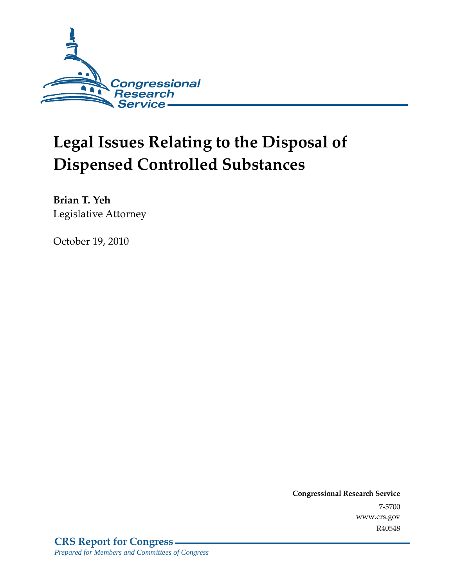

# **Legal Issues Relating to the Disposal of Dispensed Controlled Substances**

**Brian T. Yeh**  Legislative Attorney

October 19, 2010

**Congressional Research Service** 7-5700 www.crs.gov R40548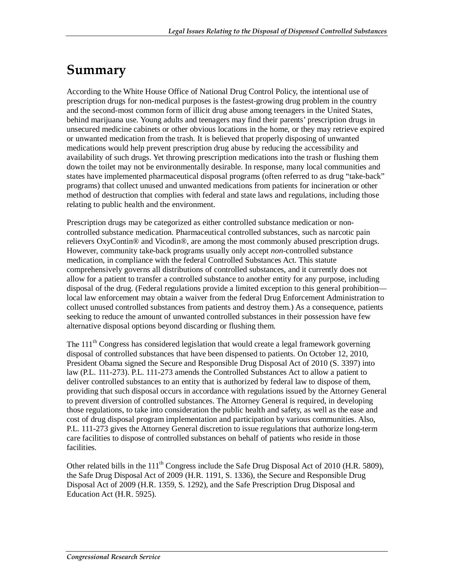### **Summary**

According to the White House Office of National Drug Control Policy, the intentional use of prescription drugs for non-medical purposes is the fastest-growing drug problem in the country and the second-most common form of illicit drug abuse among teenagers in the United States, behind marijuana use. Young adults and teenagers may find their parents' prescription drugs in unsecured medicine cabinets or other obvious locations in the home, or they may retrieve expired or unwanted medication from the trash. It is believed that properly disposing of unwanted medications would help prevent prescription drug abuse by reducing the accessibility and availability of such drugs. Yet throwing prescription medications into the trash or flushing them down the toilet may not be environmentally desirable. In response, many local communities and states have implemented pharmaceutical disposal programs (often referred to as drug "take-back" programs) that collect unused and unwanted medications from patients for incineration or other method of destruction that complies with federal and state laws and regulations, including those relating to public health and the environment.

Prescription drugs may be categorized as either controlled substance medication or noncontrolled substance medication. Pharmaceutical controlled substances, such as narcotic pain relievers OxyContin® and Vicodin®, are among the most commonly abused prescription drugs. However, community take-back programs usually only accept *non*-controlled substance medication, in compliance with the federal Controlled Substances Act. This statute comprehensively governs all distributions of controlled substances, and it currently does not allow for a patient to transfer a controlled substance to another entity for any purpose, including disposal of the drug. (Federal regulations provide a limited exception to this general prohibition local law enforcement may obtain a waiver from the federal Drug Enforcement Administration to collect unused controlled substances from patients and destroy them.) As a consequence, patients seeking to reduce the amount of unwanted controlled substances in their possession have few alternative disposal options beyond discarding or flushing them.

The 111<sup>th</sup> Congress has considered legislation that would create a legal framework governing disposal of controlled substances that have been dispensed to patients. On October 12, 2010, President Obama signed the Secure and Responsible Drug Disposal Act of 2010 (S. 3397) into law (P.L. 111-273). P.L. 111-273 amends the Controlled Substances Act to allow a patient to deliver controlled substances to an entity that is authorized by federal law to dispose of them, providing that such disposal occurs in accordance with regulations issued by the Attorney General to prevent diversion of controlled substances. The Attorney General is required, in developing those regulations, to take into consideration the public health and safety, as well as the ease and cost of drug disposal program implementation and participation by various communities. Also, P.L. 111-273 gives the Attorney General discretion to issue regulations that authorize long-term care facilities to dispose of controlled substances on behalf of patients who reside in those facilities.

Other related bills in the 111<sup>th</sup> Congress include the Safe Drug Disposal Act of 2010 (H.R. 5809), the Safe Drug Disposal Act of 2009 (H.R. 1191, S. 1336), the Secure and Responsible Drug Disposal Act of 2009 (H.R. 1359, S. 1292), and the Safe Prescription Drug Disposal and Education Act (H.R. 5925).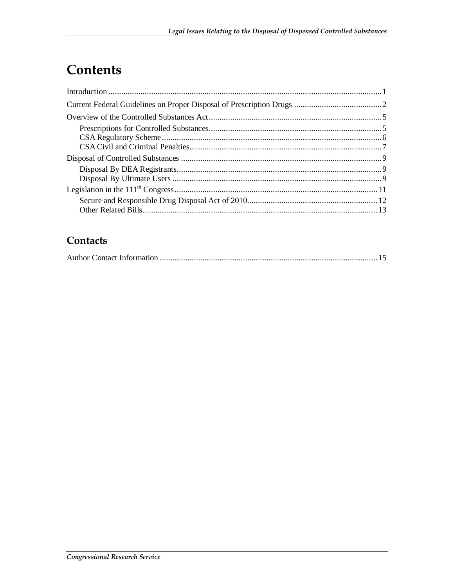## Contents

#### Contacts

|--|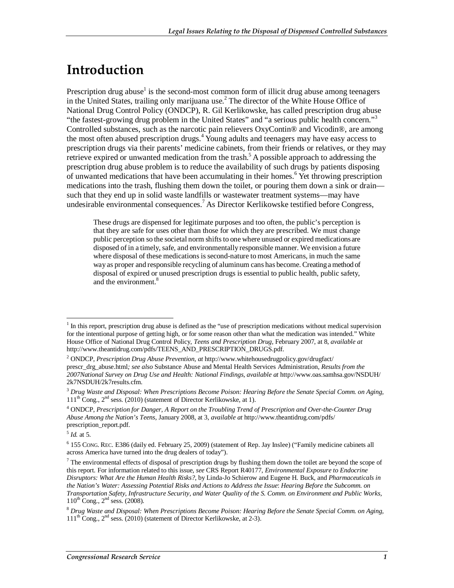### **Introduction**

Prescription drug abuse<sup>1</sup> is the second-most common form of illicit drug abuse among teenagers in the United States, trailing only marijuana use.<sup>2</sup> The director of the White House Office of National Drug Control Policy (ONDCP), R. Gil Kerlikowske, has called prescription drug abuse "the fastest-growing drug problem in the United States" and "a serious public health concern."<sup>3</sup> Controlled substances, such as the narcotic pain relievers OxyContin® and Vicodin®, are among the most often abused prescription drugs.<sup>4</sup> Young adults and teenagers may have easy access to prescription drugs via their parents' medicine cabinets, from their friends or relatives, or they may retrieve expired or unwanted medication from the trash.<sup>5</sup> A possible approach to addressing the prescription drug abuse problem is to reduce the availability of such drugs by patients disposing of unwanted medications that have been accumulating in their homes.<sup>6</sup> Yet throwing prescription medications into the trash, flushing them down the toilet, or pouring them down a sink or drain such that they end up in solid waste landfills or wastewater treatment systems—may have undesirable environmental consequences.<sup>7</sup> As Director Kerlikowske testified before Congress,

These drugs are dispensed for legitimate purposes and too often, the public's perception is that they are safe for uses other than those for which they are prescribed. We must change public perception so the societal norm shifts to one where unused or expired medications are disposed of in a timely, safe, and environmentally responsible manner. We envision a future where disposal of these medications is second-nature to most Americans, in much the same way as proper and responsible recycling of aluminum cans has become. Creating a method of disposal of expired or unused prescription drugs is essential to public health, public safety, and the environment.<sup>8</sup>

<sup>-</sup> $<sup>1</sup>$  In this report, prescription drug abuse is defined as the "use of prescription medications without medical supervision</sup> for the intentional purpose of getting high, or for some reason other than what the medication was intended." White House Office of National Drug Control Policy, *Teens and Prescription Drug,* February 2007, at 8, *available at*  http://www.theantidrug.com/pdfs/TEENS\_AND\_PRESCRIPTION\_DRUGS.pdf.

<sup>2</sup> ONDCP, *Prescription Drug Abuse Prevention, at* http://www.whitehousedrugpolicy.gov/drugfact/ prescr\_drg\_abuse.html*; see also* Substance Abuse and Mental Health Services Administration, *Results from the 2007National Survey on Drug Use and Health: National Findings*, *available at* http://www.oas.samhsa.gov/NSDUH/ 2k7NSDUH/2k7results.cfm.

<sup>3</sup> *Drug Waste and Disposal: When Prescriptions Become Poison: Hearing Before the Senate Special Comm. on Aging,*   $111<sup>th</sup> Cong., 2<sup>nd</sup> sess. (2010)$  (statement of Director Kerlikowske, at 1).

<sup>4</sup> ONDCP, *Prescription for Danger, A Report on the Troubling Trend of Prescription and Over-the-Counter Drug Abuse Among the Nation's Teens*, January 2008, at 3, *available at* http://www.theantidrug.com/pdfs/ prescription\_report.pdf.

<sup>5</sup> *Id.* at 5.

<sup>6</sup> 155 CONG. REC. E386 (daily ed. February 25, 2009) (statement of Rep. Jay Inslee) ("Family medicine cabinets all across America have turned into the drug dealers of today").

 $<sup>7</sup>$  The environmental effects of disposal of prescription drugs by flushing them down the toilet are beyond the scope of</sup> this report. For information related to this issue, *see* CRS Report R40177, *Environmental Exposure to Endocrine Disruptors: What Are the Human Health Risks?*, by Linda-Jo Schierow and Eugene H. Buck, and *Pharmaceuticals in the Nation's Water: Assessing Potential Risks and Actions to Address the Issue*: *Hearing Before the Subcomm. on Transportation Safety, Infrastructure Security, and Water Quality of the S. Comm. on Environment and Public Works,*  $110^{th}$  Cong.,  $2^{nd}$  sess. (2008).

<sup>8</sup> *Drug Waste and Disposal: When Prescriptions Become Poison: Hearing Before the Senate Special Comm. on Aging,*   $111<sup>th</sup>$  Cong.,  $2<sup>nd</sup>$  sess. (2010) (statement of Director Kerlikowske, at 2-3).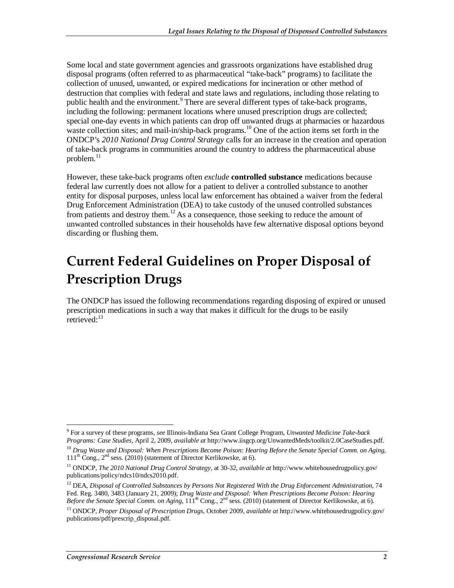Some local and state government agencies and grassroots organizations have established drug disposal programs (often referred to as pharmaceutical "take-back" programs) to facilitate the collection of unused, unwanted, or expired medications for incineration or other method of destruction that complies with federal and state laws and regulations, including those relating to public health and the environment.<sup>9</sup> There are several different types of take-back programs, including the following: permanent locations where unused prescription drugs are collected; special one-day events in which patients can drop off unwanted drugs at pharmacies or hazardous waste collection sites; and mail-in/ship-back programs.<sup>10</sup> One of the action items set forth in the ONDCP's *2010 National Drug Control Strategy* calls for an increase in the creation and operation of take-back programs in communities around the country to address the pharmaceutical abuse problem. $^{11}$ 

However, these take-back programs often *exclude* **controlled substance** medications because federal law currently does not allow for a patient to deliver a controlled substance to another entity for disposal purposes, unless local law enforcement has obtained a waiver from the federal Drug Enforcement Administration (DEA) to take custody of the unused controlled substances from patients and destroy them.<sup>12</sup> As a consequence, those seeking to reduce the amount of unwanted controlled substances in their households have few alternative disposal options beyond discarding or flushing them.

### **Current Federal Guidelines on Proper Disposal of Prescription Drugs**

The ONDCP has issued the following recommendations regarding disposing of expired or unused prescription medications in such a way that makes it difficult for the drugs to be easily retrieved:<sup>13</sup>

 9 For a survey of these programs, *see* Illinois-Indiana Sea Grant College Program, *Unwanted Medicine Take-back Programs: Case Studies*, April 2, 2009, *available at* http://www.iisgcp.org/UnwantedMeds/toolkit/2.0CaseStudies.pdf.

<sup>10</sup> *Drug Waste and Disposal: When Prescriptions Become Poison: Hearing Before the Senate Special Comm. on Aging,*   $111<sup>th</sup>$  Cong.,  $2<sup>nd</sup>$  sess. (2010) (statement of Director Kerlikowske, at 6).

<sup>11</sup> ONDCP, *The 2010 National Drug Control Strategy,* at 30-32, *available at* http://www.whitehousedrugpolicy.gov/ publications/policy/ndcs10/ndcs2010.pdf.

<sup>&</sup>lt;sup>12</sup> DEA, *Disposal of Controlled Substances by Persons Not Registered With the Drug Enforcement Administration, 74* Fed. Reg. 3480, 3483 (January 21, 2009); *Drug Waste and Disposal: When Prescriptions Become Poison: Hearing Before the Senate Special Comm. on Aging,*  $111^{th}$  Cong.,  $2^{nd}$  sess. (2010) (statement of Director Kerlikowske, at 6).

<sup>13</sup> ONDCP, *Proper Disposal of Prescription Drugs*, October 2009, *available at* http://www.whitehousedrugpolicy.gov/ publications/pdf/prescrip\_disposal.pdf.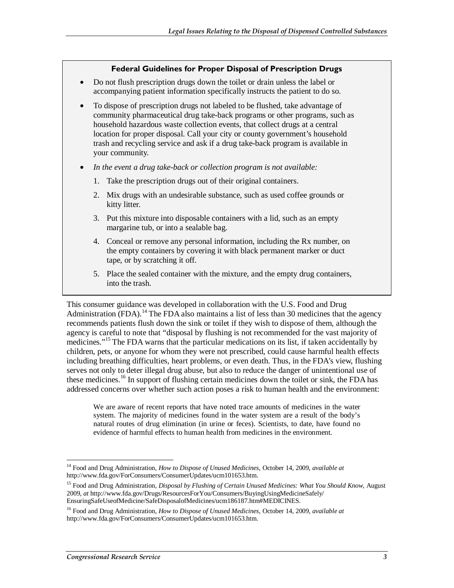#### **Federal Guidelines for Proper Disposal of Prescription Drugs**

- Do not flush prescription drugs down the toilet or drain unless the label or accompanying patient information specifically instructs the patient to do so.
- To dispose of prescription drugs not labeled to be flushed, take advantage of community pharmaceutical drug take-back programs or other programs, such as household hazardous waste collection events, that collect drugs at a central location for proper disposal. Call your city or county government's household trash and recycling service and ask if a drug take-back program is available in your community.
- *In the event a drug take-back or collection program is not available:* 
	- 1. Take the prescription drugs out of their original containers.
	- 2. Mix drugs with an undesirable substance, such as used coffee grounds or kitty litter.
	- 3. Put this mixture into disposable containers with a lid, such as an empty margarine tub, or into a sealable bag.
	- 4. Conceal or remove any personal information, including the Rx number, on the empty containers by covering it with black permanent marker or duct tape, or by scratching it off.
	- 5. Place the sealed container with the mixture, and the empty drug containers, into the trash.

This consumer guidance was developed in collaboration with the U.S. Food and Drug Administration (FDA).<sup>14</sup> The FDA also maintains a list of less than 30 medicines that the agency recommends patients flush down the sink or toilet if they wish to dispose of them, although the agency is careful to note that "disposal by flushing is not recommended for the vast majority of medicines."<sup>15</sup> The FDA warns that the particular medications on its list, if taken accidentally by children, pets, or anyone for whom they were not prescribed, could cause harmful health effects including breathing difficulties, heart problems, or even death. Thus, in the FDA's view, flushing serves not only to deter illegal drug abuse, but also to reduce the danger of unintentional use of these medicines.<sup>16</sup> In support of flushing certain medicines down the toilet or sink, the FDA has addressed concerns over whether such action poses a risk to human health and the environment:

We are aware of recent reports that have noted trace amounts of medicines in the water system. The majority of medicines found in the water system are a result of the body's natural routes of drug elimination (in urine or feces). Scientists, to date, have found no evidence of harmful effects to human health from medicines in the environment.

<sup>-</sup>14 Food and Drug Administration, *How to Dispose of Unused Medicines*, October 14, 2009, *available at*  http://www.fda.gov/ForConsumers/ConsumerUpdates/ucm101653.htm.

<sup>15</sup> Food and Drug Administration, *Disposal by Flushing of Certain Unused Medicines: What You Should Know,* August 2009, *at* http://www.fda.gov/Drugs/ResourcesForYou/Consumers/BuyingUsingMedicineSafely/ EnsuringSafeUseofMedicine/SafeDisposalofMedicines/ucm186187.htm#MEDICINES.

<sup>16</sup> Food and Drug Administration, *How to Dispose of Unused Medicines*, October 14, 2009, *available at*  http://www.fda.gov/ForConsumers/ConsumerUpdates/ucm101653.htm.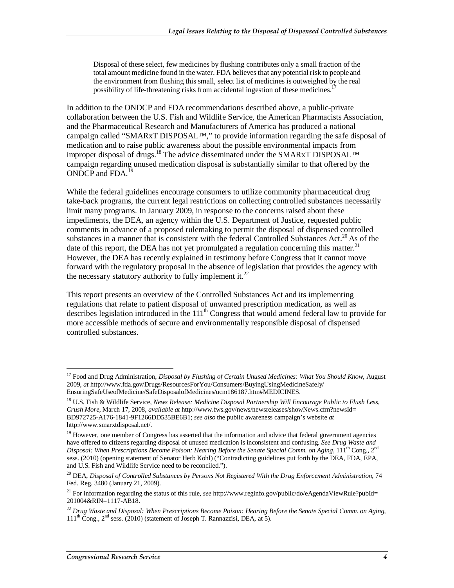Disposal of these select, few medicines by flushing contributes only a small fraction of the total amount medicine found in the water. FDA believes that any potential risk to people and the environment from flushing this small, select list of medicines is outweighed by the real possibility of life-threatening risks from accidental ingestion of these medicines.<sup>17</sup>

In addition to the ONDCP and FDA recommendations described above, a public-private collaboration between the U.S. Fish and Wildlife Service, the American Pharmacists Association, and the Pharmaceutical Research and Manufacturers of America has produced a national campaign called "SMARxT DISPOSAL™," to provide information regarding the safe disposal of medication and to raise public awareness about the possible environmental impacts from improper disposal of drugs.<sup>18</sup> The advice disseminated under the SMARxT DISPOSAL<sup>TM</sup> campaign regarding unused medication disposal is substantially similar to that offered by the ONDCP and  $FDA.<sup>1</sup>$ 

While the federal guidelines encourage consumers to utilize community pharmaceutical drug take-back programs, the current legal restrictions on collecting controlled substances necessarily limit many programs. In January 2009, in response to the concerns raised about these impediments, the DEA, an agency within the U.S. Department of Justice, requested public comments in advance of a proposed rulemaking to permit the disposal of dispensed controlled substances in a manner that is consistent with the federal Controlled Substances Act.<sup>20</sup> As of the date of this report, the DEA has not yet promulgated a regulation concerning this matter.<sup>21</sup> However, the DEA has recently explained in testimony before Congress that it cannot move forward with the regulatory proposal in the absence of legislation that provides the agency with the necessary statutory authority to fully implement it.<sup>22</sup>

This report presents an overview of the Controlled Substances Act and its implementing regulations that relate to patient disposal of unwanted prescription medication, as well as describes legislation introduced in the 111<sup>th</sup> Congress that would amend federal law to provide for more accessible methods of secure and environmentally responsible disposal of dispensed controlled substances.

-

<sup>17</sup> Food and Drug Administration, *Disposal by Flushing of Certain Unused Medicines: What You Should Know,* August 2009, *at* http://www.fda.gov/Drugs/ResourcesForYou/Consumers/BuyingUsingMedicineSafely/ EnsuringSafeUseofMedicine/SafeDisposalofMedicines/ucm186187.htm#MEDICINES.

<sup>18</sup> U.S. Fish & Wildlife Service, *News Release: Medicine Disposal Partnership Will Encourage Public to Flush Less, Crush More,* March 17, 2008, *available at* http://www.fws.gov/news/newsreleases/showNews.cfm?newsId= BD972725-A176-1841-9F1266DD535BE6B1; *see also* the public awareness campaign's website *at*  http://www.smarxtdisposal.net/.

<sup>&</sup>lt;sup>19</sup> However, one member of Congress has asserted that the information and advice that federal government agencies have offered to citizens regarding disposal of unused medication is inconsistent and confusing. *See Drug Waste and Disposal: When Prescriptions Become Poison: Hearing Before the Senate Special Comm. on Aging, 111<sup>th</sup> Cong., 2<sup>nd</sup>* sess. (2010) (opening statement of Senator Herb Kohl) ("Contradicting guidelines put forth by the DEA, FDA, EPA, and U.S. Fish and Wildlife Service need to be reconciled.").

<sup>20</sup> DEA, *Disposal of Controlled Substances by Persons Not Registered With the Drug Enforcement Administration*, 74 Fed. Reg. 3480 (January 21, 2009).

<sup>&</sup>lt;sup>21</sup> For information regarding the status of this rule, *see* http://www.reginfo.gov/public/do/eAgendaViewRule?pubId= 201004&RIN=1117-AB18.

<sup>22</sup> *Drug Waste and Disposal: When Prescriptions Become Poison: Hearing Before the Senate Special Comm. on Aging,*   $111<sup>th</sup> Cong., 2<sup>nd</sup> sess. (2010)$  (statement of Joseph T. Rannazzisi, DEA, at 5).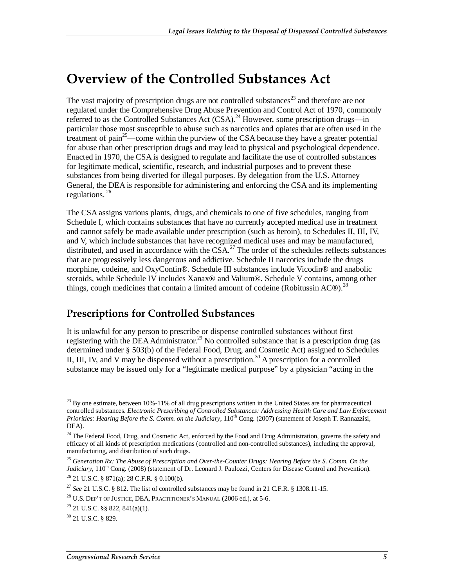### **Overview of the Controlled Substances Act**

The vast majority of prescription drugs are not controlled substances<sup>23</sup> and therefore are not regulated under the Comprehensive Drug Abuse Prevention and Control Act of 1970, commonly referred to as the Controlled Substances Act (CSA).<sup>24</sup> However, some prescription drugs—in particular those most susceptible to abuse such as narcotics and opiates that are often used in the treatment of pain<sup>25</sup>—come within the purview of the CSA because they have a greater potential for abuse than other prescription drugs and may lead to physical and psychological dependence. Enacted in 1970, the CSA is designed to regulate and facilitate the use of controlled substances for legitimate medical, scientific, research, and industrial purposes and to prevent these substances from being diverted for illegal purposes. By delegation from the U.S. Attorney General, the DEA is responsible for administering and enforcing the CSA and its implementing regulations.  $^{26}$ 

The CSA assigns various plants, drugs, and chemicals to one of five schedules, ranging from Schedule I, which contains substances that have no currently accepted medical use in treatment and cannot safely be made available under prescription (such as heroin), to Schedules II, III, IV, and V, which include substances that have recognized medical uses and may be manufactured, distributed, and used in accordance with the  $CSA<sup>27</sup>$ . The order of the schedules reflects substances that are progressively less dangerous and addictive. Schedule II narcotics include the drugs morphine, codeine, and OxyContin®. Schedule III substances include Vicodin® and anabolic steroids, while Schedule IV includes Xanax<sup>®</sup> and Valium<sup>®</sup>. Schedule V contains, among other things, cough medicines that contain a limited amount of codeine (Robitussin AC $\textcircled{8}$ ).<sup>28</sup>

#### **Prescriptions for Controlled Substances**

It is unlawful for any person to prescribe or dispense controlled substances without first registering with the DEA Administrator.<sup>29</sup> No controlled substance that is a prescription drug (as determined under § 503(b) of the Federal Food, Drug, and Cosmetic Act) assigned to Schedules II, III, IV, and V may be dispensed without a prescription.<sup>30</sup> A prescription for a controlled substance may be issued only for a "legitimate medical purpose" by a physician "acting in the

<sup>-</sup> $^{23}$  By one estimate, between 10%-11% of all drug prescriptions written in the United States are for pharmaceutical controlled substances. *Electronic Prescribing of Controlled Substances: Addressing Health Care and Law Enforcement Priorities: Hearing Before the S. Comm. on the Judiciary*,  $110^{th}$  Cong. (2007) (statement of Joseph T. Rannazzisi, DEA).

 $24$  The Federal Food, Drug, and Cosmetic Act, enforced by the Food and Drug Administration, governs the safety and efficacy of all kinds of prescription medications (controlled and non-controlled substances), including the approval, manufacturing, and distribution of such drugs.

<sup>25</sup> *Generation Rx: The Abuse of Prescription and Over-the-Counter Drugs: Hearing Before the S. Comm. On the Judiciary*, 110<sup>th</sup> Cong. (2008) (statement of Dr. Leonard J. Paulozzi, Centers for Disease Control and Prevention). <sup>26</sup> 21 U.S.C. § 871(a); 28 C.F.R. § 0.100(b).

<sup>27</sup> *See* 21 U.S.C. § 812. The list of controlled substances may be found in 21 C.F.R. § 1308.11-15.

 $^{28}$  U.S. Dep't of Justice, DEA, Practitioner's Manual (2006 ed.), at 5-6.

 $^{29}$  21 U.S.C. §§ 822, 841(a)(1).

 $30$  21 U.S.C. § 829.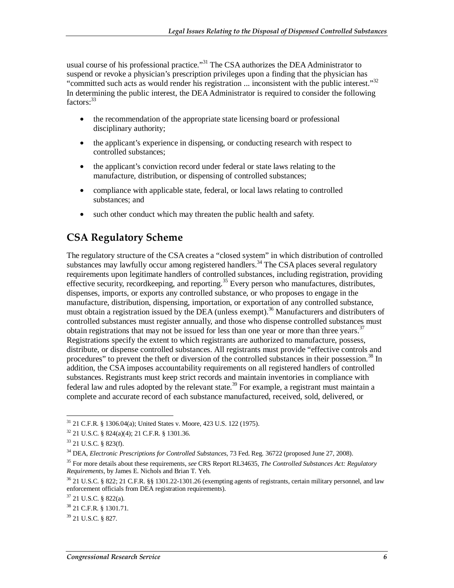usual course of his professional practice.<sup>31</sup> The CSA authorizes the DEA Administrator to suspend or revoke a physician's prescription privileges upon a finding that the physician has "committed such acts as would render his registration ... inconsistent with the public interest."<sup>32</sup> In determining the public interest, the DEA Administrator is required to consider the following factors:<sup>33</sup>

- the recommendation of the appropriate state licensing board or professional disciplinary authority;
- the applicant's experience in dispensing, or conducting research with respect to controlled substances;
- the applicant's conviction record under federal or state laws relating to the manufacture, distribution, or dispensing of controlled substances;
- compliance with applicable state, federal, or local laws relating to controlled substances; and
- such other conduct which may threaten the public health and safety.

#### **CSA Regulatory Scheme**

The regulatory structure of the CSA creates a "closed system" in which distribution of controlled substances may lawfully occur among registered handlers.<sup>34</sup> The CSA places several regulatory requirements upon legitimate handlers of controlled substances, including registration, providing effective security, recordkeeping, and reporting.<sup>35</sup> Every person who manufactures, distributes, dispenses, imports, or exports any controlled substance, or who proposes to engage in the manufacture, distribution, dispensing, importation, or exportation of any controlled substance, must obtain a registration issued by the DEA (unless exempt).<sup>36</sup> Manufacturers and distributers of controlled substances must register annually, and those who dispense controlled substances must obtain registrations that may not be issued for less than one year or more than three years.<sup>37</sup> Registrations specify the extent to which registrants are authorized to manufacture, possess, distribute, or dispense controlled substances. All registrants must provide "effective controls and procedures" to prevent the theft or diversion of the controlled substances in their possession.<sup>38</sup> In addition, the CSA imposes accountability requirements on all registered handlers of controlled substances. Registrants must keep strict records and maintain inventories in compliance with federal law and rules adopted by the relevant state.<sup>39</sup> For example, a registrant must maintain a complete and accurate record of each substance manufactured, received, sold, delivered, or

<sup>-</sup>31 21 C.F.R. § 1306.04(a); United States v. Moore, 423 U.S. 122 (1975).

<sup>32 21</sup> U.S.C. § 824(a)(4); 21 C.F.R. § 1301.36.

<sup>33 21</sup> U.S.C. § 823(f).

<sup>34</sup> DEA, *Electronic Prescriptions for Controlled Substances*, 73 Fed. Reg. 36722 (proposed June 27, 2008).

<sup>35</sup> For more details about these requirements, *see* CRS Report RL34635, *The Controlled Substances Act: Regulatory Requirements*, by James E. Nichols and Brian T. Yeh.

<sup>36 21</sup> U.S.C. § 822; 21 C.F.R. §§ 1301.22-1301.26 (exempting agents of registrants, certain military personnel, and law enforcement officials from DEA registration requirements).

 $37$  21 U.S.C. § 822(a).

<sup>38 21</sup> C.F.R. § 1301.71.

<sup>39 21</sup> U.S.C. § 827.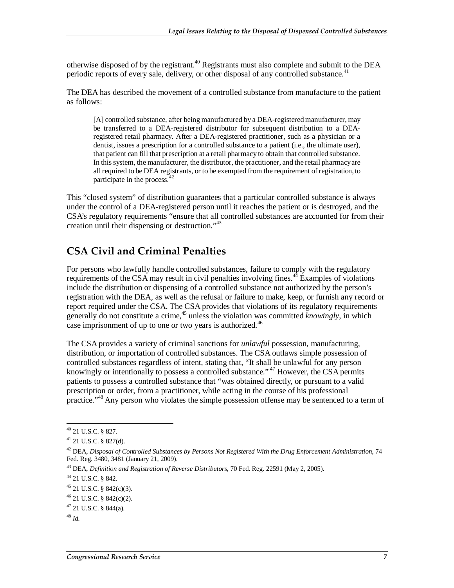otherwise disposed of by the registrant.<sup>40</sup> Registrants must also complete and submit to the DEA periodic reports of every sale, delivery, or other disposal of any controlled substance.<sup>41</sup>

The DEA has described the movement of a controlled substance from manufacture to the patient as follows:

[A] controlled substance, after being manufactured by a DEA-registered manufacturer, may be transferred to a DEA-registered distributor for subsequent distribution to a DEAregistered retail pharmacy. After a DEA-registered practitioner, such as a physician or a dentist, issues a prescription for a controlled substance to a patient (i.e., the ultimate user), that patient can fill that prescription at a retail pharmacy to obtain that controlled substance. In this system, the manufacturer, the distributor, the practitioner, and the retail pharmacy are all required to be DEA registrants, or to be exempted from the requirement of registration, to participate in the process.<sup>42</sup>

This "closed system" of distribution guarantees that a particular controlled substance is always under the control of a DEA-registered person until it reaches the patient or is destroyed, and the CSA's regulatory requirements "ensure that all controlled substances are accounted for from their creation until their dispensing or destruction."<sup>43</sup>

#### **CSA Civil and Criminal Penalties**

For persons who lawfully handle controlled substances, failure to comply with the regulatory requirements of the CSA may result in civil penalties involving fines.<sup>44</sup> Examples of violations include the distribution or dispensing of a controlled substance not authorized by the person's registration with the DEA, as well as the refusal or failure to make, keep, or furnish any record or report required under the CSA. The CSA provides that violations of its regulatory requirements generally do not constitute a crime,<sup>45</sup> unless the violation was committed *knowingly*, in which case imprisonment of up to one or two years is authorized.<sup>46</sup>

The CSA provides a variety of criminal sanctions for *unlawful* possession, manufacturing, distribution, or importation of controlled substances. The CSA outlaws simple possession of controlled substances regardless of intent, stating that, "It shall be unlawful for any person knowingly or intentionally to possess a controlled substance."<sup>47</sup> However, the CSA permits patients to possess a controlled substance that "was obtained directly, or pursuant to a valid prescription or order, from a practitioner, while acting in the course of his professional practice."<sup>48</sup> Any person who violates the simple possession offense may be sentenced to a term of

<u>.</u>

<sup>40 21</sup> U.S.C. § 827.

 $41$  21 U.S.C. § 827(d).

<sup>&</sup>lt;sup>42</sup> DEA, *Disposal of Controlled Substances by Persons Not Registered With the Drug Enforcement Administration, 74* Fed. Reg. 3480, 3481 (January 21, 2009).

<sup>43</sup> DEA, *Definition and Registration of Reverse Distributors*, 70 Fed. Reg. 22591 (May 2, 2005). 44 21 U.S.C. § 842.

 $45$  21 U.S.C. § 842(c)(3).

 $46$  21 U.S.C. § 842(c)(2).

 $47$  21 U.S.C. § 844(a).

<sup>48</sup> *Id.*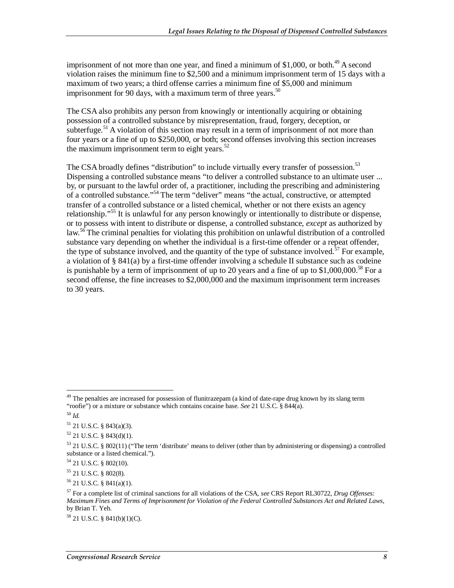imprisonment of not more than one year, and fined a minimum of \$1,000, or both.<sup>49</sup> A second violation raises the minimum fine to \$2,500 and a minimum imprisonment term of 15 days with a maximum of two years; a third offense carries a minimum fine of \$5,000 and minimum imprisonment for 90 days, with a maximum term of three years.<sup>50</sup>

The CSA also prohibits any person from knowingly or intentionally acquiring or obtaining possession of a controlled substance by misrepresentation, fraud, forgery, deception, or subterfuge.<sup>51</sup> A violation of this section may result in a term of imprisonment of not more than four years or a fine of up to \$250,000, or both; second offenses involving this section increases the maximum imprisonment term to eight years. $52$ 

The CSA broadly defines "distribution" to include virtually every transfer of possession.<sup>53</sup> Dispensing a controlled substance means "to deliver a controlled substance to an ultimate user ... by, or pursuant to the lawful order of, a practitioner, including the prescribing and administering of a controlled substance."<sup>54</sup> The term "deliver" means "the actual, constructive, or attempted transfer of a controlled substance or a listed chemical, whether or not there exists an agency relationship."<sup>55</sup> It is unlawful for any person knowingly or intentionally to distribute or dispense, or to possess with intent to distribute or dispense, a controlled substance, *except* as authorized by  $\text{law}^{56}$  The criminal penalties for violating this prohibition on unlawful distribution of a controlled substance vary depending on whether the individual is a first-time offender or a repeat offender, the type of substance involved, and the quantity of the type of substance involved.<sup>57</sup> For example, a violation of § 841(a) by a first-time offender involving a schedule II substance such as codeine is punishable by a term of imprisonment of up to 20 years and a fine of up to  $$1,000,000$ .<sup>58</sup> For a second offense, the fine increases to \$2,000,000 and the maximum imprisonment term increases to 30 years.

-

55 21 U.S.C. § 802(8).

 $56$  21 U.S.C. § 841(a)(1).

<sup>&</sup>lt;sup>49</sup> The penalties are increased for possession of flunitrazepam (a kind of date-rape drug known by its slang term "roofie") or a mixture or substance which contains cocaine base. *See* 21 U.S.C. § 844(a). <sup>50</sup> *Id.* 

<sup>51 21</sup> U.S.C. § 843(a)(3).

 $52$  21 U.S.C. § 843(d)(1).

<sup>53 21</sup> U.S.C. § 802(11) ("The term 'distribute' means to deliver (other than by administering or dispensing) a controlled substance or a listed chemical.").

 $54$  21 U.S.C. § 802(10).

<sup>57</sup> For a complete list of criminal sanctions for all violations of the CSA, *see* CRS Report RL30722, *Drug Offenses: Maximum Fines and Terms of Imprisonment for Violation of the Federal Controlled Substances Act and Related Laws*, by Brian T. Yeh.

<sup>58 21</sup> U.S.C. § 841(b)(1)(C).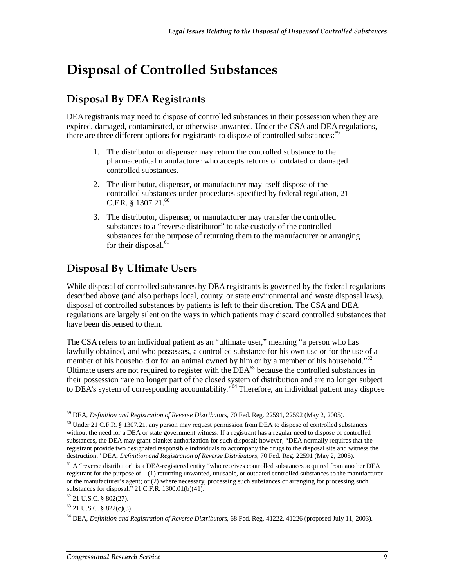### **Disposal of Controlled Substances**

#### **Disposal By DEA Registrants**

DEA registrants may need to dispose of controlled substances in their possession when they are expired, damaged, contaminated, or otherwise unwanted. Under the CSA and DEA regulations, there are three different options for registrants to dispose of controlled substances: $59$ 

- 1. The distributor or dispenser may return the controlled substance to the pharmaceutical manufacturer who accepts returns of outdated or damaged controlled substances.
- 2. The distributor, dispenser, or manufacturer may itself dispose of the controlled substances under procedures specified by federal regulation, 21 C.F.R.  $§$  1307.21.<sup>60</sup>
- 3. The distributor, dispenser, or manufacturer may transfer the controlled substances to a "reverse distributor" to take custody of the controlled substances for the purpose of returning them to the manufacturer or arranging for their disposal. $6$

### **Disposal By Ultimate Users**

While disposal of controlled substances by DEA registrants is governed by the federal regulations described above (and also perhaps local, county, or state environmental and waste disposal laws), disposal of controlled substances by patients is left to their discretion. The CSA and DEA regulations are largely silent on the ways in which patients may discard controlled substances that have been dispensed to them.

The CSA refers to an individual patient as an "ultimate user," meaning "a person who has lawfully obtained, and who possesses, a controlled substance for his own use or for the use of a member of his household or for an animal owned by him or by a member of his household."<sup>62</sup> Ultimate users are not required to register with the  $DEA^{63}$  because the controlled substances in their possession "are no longer part of the closed system of distribution and are no longer subject to DEA's system of corresponding accountability."<sup>64</sup> Therefore, an individual patient may dispose

<sup>-</sup>59 DEA, *Definition and Registration of Reverse Distributors*, 70 Fed. Reg. 22591, 22592 (May 2, 2005).

<sup>60</sup> Under 21 C.F.R. § 1307.21, any person may request permission from DEA to dispose of controlled substances without the need for a DEA or state government witness. If a registrant has a regular need to dispose of controlled substances, the DEA may grant blanket authorization for such disposal; however, "DEA normally requires that the registrant provide two designated responsible individuals to accompany the drugs to the disposal site and witness the destruction." DEA, *Definition and Registration of Reverse Distributors*, 70 Fed. Reg. 22591 (May 2, 2005)*.*

<sup>&</sup>lt;sup>61</sup> A "reverse distributor" is a DEA-registered entity "who receives controlled substances acquired from another DEA registrant for the purpose of—(1) returning unwanted, unusable, or outdated controlled substances to the manufacturer or the manufacturer's agent; or (2) where necessary, processing such substances or arranging for processing such substances for disposal." 21 C.F.R. 1300.01(b)(41).

 $62$  21 U.S.C. § 802(27).

 $63$  21 U.S.C. § 822(c)(3).

<sup>64</sup> DEA, *Definition and Registration of Reverse Distributors*, 68 Fed. Reg. 41222, 41226 (proposed July 11, 2003).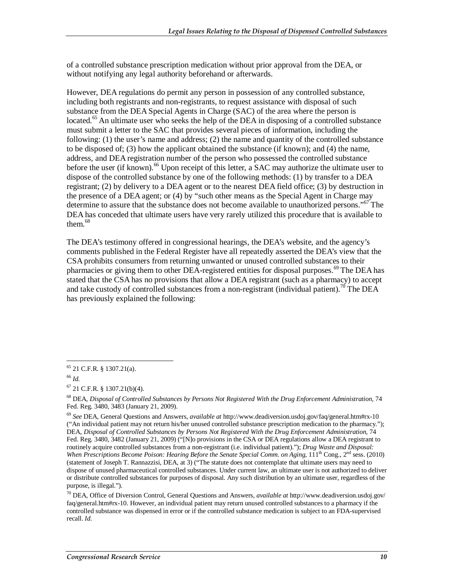of a controlled substance prescription medication without prior approval from the DEA, or without notifying any legal authority beforehand or afterwards.

However, DEA regulations do permit any person in possession of any controlled substance, including both registrants and non-registrants, to request assistance with disposal of such substance from the DEA Special Agents in Charge (SAC) of the area where the person is located.<sup>65</sup> An ultimate user who seeks the help of the DEA in disposing of a controlled substance must submit a letter to the SAC that provides several pieces of information, including the following: (1) the user's name and address; (2) the name and quantity of the controlled substance to be disposed of; (3) how the applicant obtained the substance (if known); and (4) the name, address, and DEA registration number of the person who possessed the controlled substance before the user (if known).<sup>66</sup> Upon receipt of this letter, a SAC may authorize the ultimate user to dispose of the controlled substance by one of the following methods: (1) by transfer to a DEA registrant; (2) by delivery to a DEA agent or to the nearest DEA field office; (3) by destruction in the presence of a DEA agent; or (4) by "such other means as the Special Agent in Charge may determine to assure that the substance does not become available to unauthorized persons."<sup>67</sup> The DEA has conceded that ultimate users have very rarely utilized this procedure that is available to them.<sup>68</sup>

The DEA's testimony offered in congressional hearings, the DEA's website, and the agency's comments published in the Federal Register have all repeatedly asserted the DEA's view that the CSA prohibits consumers from returning unwanted or unused controlled substances to their pharmacies or giving them to other DEA-registered entities for disposal purposes.<sup>69</sup> The DEA has stated that the CSA has no provisions that allow a DEA registrant (such as a pharmacy) to accept and take custody of controlled substances from a non-registrant (individual patient).<sup>70</sup> The DEA has previously explained the following:

<sup>&</sup>lt;u>.</u>  $65$  21 C.F.R. § 1307.21(a).

<sup>66</sup> *Id.* 

 $67$  21 C.F.R. § 1307.21(b)(4).

<sup>68</sup> DEA, *Disposal of Controlled Substances by Persons Not Registered With the Drug Enforcement Administration,* 74 Fed. Reg. 3480, 3483 (January 21, 2009).

<sup>69</sup> *See* DEA, General Questions and Answers, *available at* http://www.deadiversion.usdoj.gov/faq/general.htm#rx-10 ("An individual patient may not return his/her unused controlled substance prescription medication to the pharmacy."); DEA, *Disposal of Controlled Substances by Persons Not Registered With the Drug Enforcement Administration*, 74 Fed. Reg. 3480, 3482 (January 21, 2009) ("[N]o provisions in the CSA or DEA regulations allow a DEA registrant to routinely acquire controlled substances from a non-registrant (i.e. individual patient)."); *Drug Waste and Disposal: When Prescriptions Become Poison: Hearing Before the Senate Special Comm. on Aging,*  $111^{th}$  Cong.,  $2^{nd}$  sess. (2010) (statement of Joseph T. Rannazzisi, DEA, at 3) ("The statute does not contemplate that ultimate users may need to dispose of unused pharmaceutical controlled substances. Under current law, an ultimate user is not authorized to deliver or distribute controlled substances for purposes of disposal. Any such distribution by an ultimate user, regardless of the purpose, is illegal.").

<sup>70</sup> DEA, Office of Diversion Control, General Questions and Answers, *available at* http://www.deadiversion.usdoj.gov/ faq/general.htm#rx-10. However, an individual patient may return unused controlled substances to a pharmacy if the controlled substance was dispensed in error or if the controlled substance medication is subject to an FDA-supervised recall. *Id.*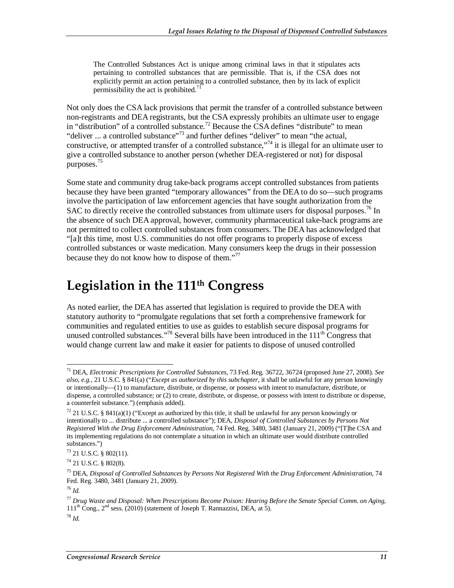The Controlled Substances Act is unique among criminal laws in that it stipulates acts pertaining to controlled substances that are permissible. That is, if the CSA does not explicitly permit an action pertaining to a controlled substance, then by its lack of explicit permissibility the act is prohibited.<sup>71</sup>

Not only does the CSA lack provisions that permit the transfer of a controlled substance between non-registrants and DEA registrants, but the CSA expressly prohibits an ultimate user to engage in "distribution" of a controlled substance.<sup>72</sup> Because the CSA defines "distribute" to mean "deliver ... a controlled substance"<sup>73</sup> and further defines "deliver" to mean "the actual, constructive, or attempted transfer of a controlled substance,"<sup>74</sup> it is illegal for an ultimate user to give a controlled substance to another person (whether DEA-registered or not) for disposal purposes.<sup>75</sup>

Some state and community drug take-back programs accept controlled substances from patients because they have been granted "temporary allowances" from the DEA to do so—such programs involve the participation of law enforcement agencies that have sought authorization from the SAC to directly receive the controlled substances from ultimate users for disposal purposes.<sup>76</sup> In the absence of such DEA approval, however, community pharmaceutical take-back programs are not permitted to collect controlled substances from consumers. The DEA has acknowledged that "[a]t this time, most U.S. communities do not offer programs to properly dispose of excess controlled substances or waste medication. Many consumers keep the drugs in their possession because they do not know how to dispose of them."<sup>77</sup>

### **Legislation in the 111th Congress**

As noted earlier, the DEA has asserted that legislation is required to provide the DEA with statutory authority to "promulgate regulations that set forth a comprehensive framework for communities and regulated entities to use as guides to establish secure disposal programs for unused controlled substances."<sup>78</sup> Several bills have been introduced in the  $111<sup>th</sup>$  Congress that would change current law and make it easier for patients to dispose of unused controlled

<sup>-</sup>71 DEA, *Electronic Prescriptions for Controlled Substances*, 73 Fed. Reg. 36722, 36724 (proposed June 27, 2008). *See also, e.g.,* 21 U.S.C. § 841(a) ("*Except as authorized by this subchapter*, it shall be unlawful for any person knowingly or intentionally—(1) to manufacture, distribute, or dispense, or possess with intent to manufacture, distribute, or dispense, a controlled substance; or (2) to create, distribute, or dispense, or possess with intent to distribute or dispense, a counterfeit substance.") (emphasis added).

 $72$  21 U.S.C. § 841(a)(1) ("Except as authorized by this title, it shall be unlawful for any person knowingly or intentionally to ... distribute ... a controlled substance"); DEA, *Disposal of Controlled Substances by Persons Not Registered With the Drug Enforcement Administration,* 74 Fed. Reg. 3480, 3481 (January 21, 2009) ("[T]he CSA and its implementing regulations do not contemplate a situation in which an ultimate user would distribute controlled substances.")

<sup>73 21</sup> U.S.C. § 802(11).

 $74$  21 U.S.C. § 802(8).

<sup>75</sup> DEA, *Disposal of Controlled Substances by Persons Not Registered With the Drug Enforcement Administration,* 74 Fed. Reg. 3480, 3481 (January 21, 2009).

<sup>76</sup> *Id.*

<sup>77</sup> *Drug Waste and Disposal: When Prescriptions Become Poison: Hearing Before the Senate Special Comm. on Aging,*   $111^{th}$  Cong.,  $2^{nd}$  sess. (2010) (statement of Joseph T. Rannazzisi, DEA, at 5).

 $^{78}$  *Id.*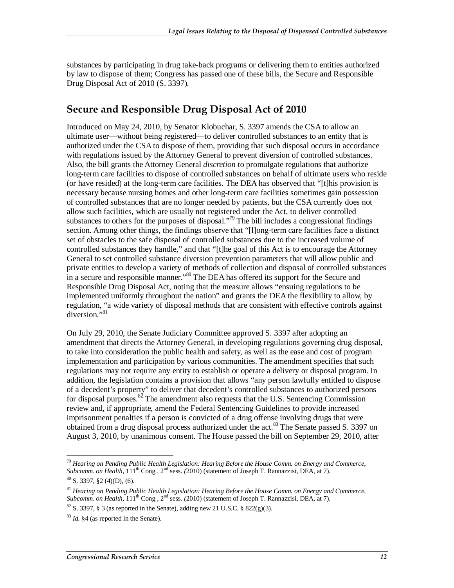substances by participating in drug take-back programs or delivering them to entities authorized by law to dispose of them; Congress has passed one of these bills, the Secure and Responsible Drug Disposal Act of 2010 (S. 3397).

#### **Secure and Responsible Drug Disposal Act of 2010**

Introduced on May 24, 2010, by Senator Klobuchar, S. 3397 amends the CSA to allow an ultimate user—without being registered—to deliver controlled substances to an entity that is authorized under the CSA to dispose of them, providing that such disposal occurs in accordance with regulations issued by the Attorney General to prevent diversion of controlled substances. Also, the bill grants the Attorney General *discretion* to promulgate regulations that authorize long-term care facilities to dispose of controlled substances on behalf of ultimate users who reside (or have resided) at the long-term care facilities. The DEA has observed that "[t]his provision is necessary because nursing homes and other long-term care facilities sometimes gain possession of controlled substances that are no longer needed by patients, but the CSA currently does not allow such facilities, which are usually not registered under the Act, to deliver controlled substances to others for the purposes of disposal."<sup>79</sup> The bill includes a congressional findings section. Among other things, the findings observe that "[l]ong-term care facilities face a distinct set of obstacles to the safe disposal of controlled substances due to the increased volume of controlled substances they handle," and that "[t]he goal of this Act is to encourage the Attorney General to set controlled substance diversion prevention parameters that will allow public and private entities to develop a variety of methods of collection and disposal of controlled substances in a secure and responsible manner."<sup>80</sup> The DEA has offered its support for the Secure and Responsible Drug Disposal Act, noting that the measure allows "ensuing regulations to be implemented uniformly throughout the nation" and grants the DEA the flexibility to allow, by regulation, "a wide variety of disposal methods that are consistent with effective controls against diversion."<sup>81</sup>

On July 29, 2010, the Senate Judiciary Committee approved S. 3397 after adopting an amendment that directs the Attorney General, in developing regulations governing drug disposal, to take into consideration the public health and safety, as well as the ease and cost of program implementation and participation by various communities. The amendment specifies that such regulations may not require any entity to establish or operate a delivery or disposal program. In addition, the legislation contains a provision that allows "any person lawfully entitled to dispose of a decedent's property" to deliver that decedent's controlled substances to authorized persons for disposal purposes.<sup>82</sup> The amendment also requests that the U.S. Sentencing Commission review and, if appropriate, amend the Federal Sentencing Guidelines to provide increased imprisonment penalties if a person is convicted of a drug offense involving drugs that were obtained from a drug disposal process authorized under the act.<sup>83</sup> The Senate passed S. 3397 on August 3, 2010, by unanimous consent. The House passed the bill on September 29, 2010, after

<sup>-</sup><sup>79</sup> Hearing on Pending Public Health Legislation: Hearing Before the House Comm. on Energy and Commerce, *Subcomm. on Health,* 111th Cong , 2nd sess. *(*2010) (statement of Joseph T. Rannazzisi, DEA, at 7).  $80$  S. 3397, §2 (4)(D), (6).

<sup>81</sup> *Hearing on Pending Public Health Legislation: Hearing Before the House Comm. on Energy and Commerce, Subcomm. on Health,* 111th Cong , 2nd sess. *(*2010) (statement of Joseph T. Rannazzisi, DEA, at 7).

 $82$  S. 3397, § 3 (as reported in the Senate), adding new 21 U.S.C. § 822(g)(3).

<sup>83</sup> *Id.* §4 (as reported in the Senate).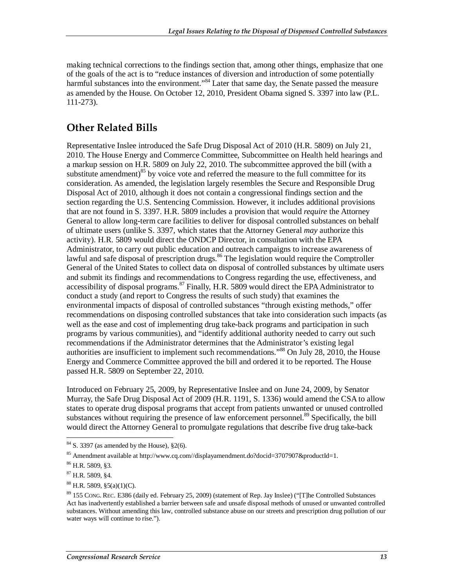making technical corrections to the findings section that, among other things, emphasize that one of the goals of the act is to "reduce instances of diversion and introduction of some potentially harmful substances into the environment."<sup>84</sup> Later that same day, the Senate passed the measure as amended by the House. On October 12, 2010, President Obama signed S. 3397 into law (P.L. 111-273).

#### **Other Related Bills**

Representative Inslee introduced the Safe Drug Disposal Act of 2010 (H.R. 5809) on July 21, 2010. The House Energy and Commerce Committee, Subcommittee on Health held hearings and a markup session on H.R. 5809 on July 22, 2010. The subcommittee approved the bill (with a substitute amendment) $85$  by voice vote and referred the measure to the full committee for its consideration. As amended, the legislation largely resembles the Secure and Responsible Drug Disposal Act of 2010, although it does not contain a congressional findings section and the section regarding the U.S. Sentencing Commission. However, it includes additional provisions that are not found in S. 3397. H.R. 5809 includes a provision that would *require* the Attorney General to allow long-term care facilities to deliver for disposal controlled substances on behalf of ultimate users (unlike S. 3397, which states that the Attorney General *may* authorize this activity). H.R. 5809 would direct the ONDCP Director, in consultation with the EPA Administrator, to carry out public education and outreach campaigns to increase awareness of lawful and safe disposal of prescription drugs.<sup>86</sup> The legislation would require the Comptroller General of the United States to collect data on disposal of controlled substances by ultimate users and submit its findings and recommendations to Congress regarding the use, effectiveness, and accessibility of disposal programs.<sup>87</sup> Finally, H.R. 5809 would direct the EPA Administrator to conduct a study (and report to Congress the results of such study) that examines the environmental impacts of disposal of controlled substances "through existing methods," offer recommendations on disposing controlled substances that take into consideration such impacts (as well as the ease and cost of implementing drug take-back programs and participation in such programs by various communities), and "identify additional authority needed to carry out such recommendations if the Administrator determines that the Administrator's existing legal authorities are insufficient to implement such recommendations.<sup>38</sup> On July 28, 2010, the House Energy and Commerce Committee approved the bill and ordered it to be reported. The House passed H.R. 5809 on September 22, 2010.

Introduced on February 25, 2009, by Representative Inslee and on June 24, 2009, by Senator Murray, the Safe Drug Disposal Act of 2009 (H.R. 1191, S. 1336) would amend the CSA to allow states to operate drug disposal programs that accept from patients unwanted or unused controlled substances without requiring the presence of law enforcement personnel.<sup>89</sup> Specifically, the bill would direct the Attorney General to promulgate regulations that describe five drug take-back

<sup>-</sup> $84$  S. 3397 (as amended by the House),  $\S2(6)$ .

<sup>85</sup> Amendment available at http://www.cq.com//displayamendment.do?docid=3707907&productId=1.

<sup>86</sup> H.R. 5809, §3.

<sup>87</sup> H.R. 5809, §4.

 $88$  H.R. 5809, §5(a)(1)(C).

<sup>89 155</sup> CONG. REC. E386 (daily ed. February 25, 2009) (statement of Rep. Jay Inslee) ("[T]he Controlled Substances Act has inadvertently established a barrier between safe and unsafe disposal methods of unused or unwanted controlled substances. Without amending this law, controlled substance abuse on our streets and prescription drug pollution of our water ways will continue to rise.").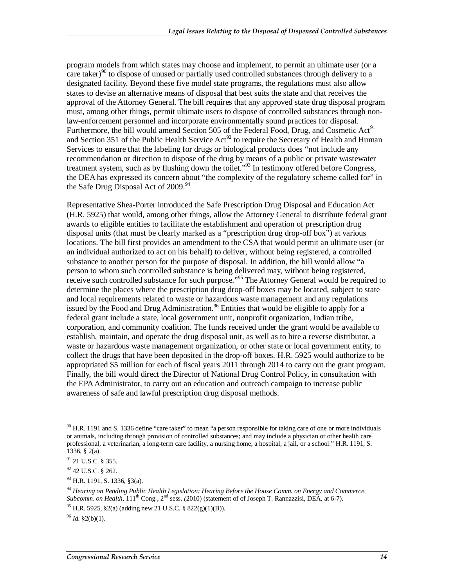program models from which states may choose and implement, to permit an ultimate user (or a care taker)<sup>90</sup> to dispose of unused or partially used controlled substances through delivery to a designated facility. Beyond these five model state programs, the regulations must also allow states to devise an alternative means of disposal that best suits the state and that receives the approval of the Attorney General. The bill requires that any approved state drug disposal program must, among other things, permit ultimate users to dispose of controlled substances through nonlaw-enforcement personnel and incorporate environmentally sound practices for disposal. Furthermore, the bill would amend Section 505 of the Federal Food, Drug, and Cosmetic  $Act<sup>91</sup>$ and Section 351 of the Public Health Service  $Act^{92}$  to require the Secretary of Health and Human Services to ensure that the labeling for drugs or biological products does "not include any recommendation or direction to dispose of the drug by means of a public or private wastewater treatment system, such as by flushing down the toilet."<sup>93</sup> In testimony offered before Congress, the DEA has expressed its concern about "the complexity of the regulatory scheme called for" in the Safe Drug Disposal Act of  $2009.^{94}$ 

Representative Shea-Porter introduced the Safe Prescription Drug Disposal and Education Act (H.R. 5925) that would, among other things, allow the Attorney General to distribute federal grant awards to eligible entities to facilitate the establishment and operation of prescription drug disposal units (that must be clearly marked as a "prescription drug drop-off box") at various locations. The bill first provides an amendment to the CSA that would permit an ultimate user (or an individual authorized to act on his behalf) to deliver, without being registered, a controlled substance to another person for the purpose of disposal. In addition, the bill would allow "a person to whom such controlled substance is being delivered may, without being registered, receive such controlled substance for such purpose."<sup>95</sup> The Attorney General would be required to determine the places where the prescription drug drop-off boxes may be located, subject to state and local requirements related to waste or hazardous waste management and any regulations issued by the Food and Drug Administration.<sup>96</sup> Entities that would be eligible to apply for a federal grant include a state, local government unit, nonprofit organization, Indian tribe, corporation, and community coalition. The funds received under the grant would be available to establish, maintain, and operate the drug disposal unit, as well as to hire a reverse distributor, a waste or hazardous waste management organization, or other state or local government entity, to collect the drugs that have been deposited in the drop-off boxes. H.R. 5925 would authorize to be appropriated \$5 million for each of fiscal years 2011 through 2014 to carry out the grant program. Finally, the bill would direct the Director of National Drug Control Policy, in consultation with the EPA Administrator, to carry out an education and outreach campaign to increase public awareness of safe and lawful prescription drug disposal methods.

<sup>-</sup> $90$  H.R. 1191 and S. 1336 define "care taker" to mean "a person responsible for taking care of one or more individuals or animals, including through provision of controlled substances; and may include a physician or other health care professional, a veterinarian, a long-term care facility, a nursing home, a hospital, a jail, or a school." H.R. 1191, S. 1336, § 2(a).

<sup>&</sup>lt;sup>91</sup> 21 U.S.C. § 355.

 $92$  42 U.S.C. § 262.

<sup>93</sup> H.R. 1191, S. 1336, §3(a).

<sup>94</sup> *Hearing on Pending Public Health Legislation: Hearing Before the House Comm. on Energy and Commerce, Subcomm. on Health,* 111th Cong , 2nd sess. *(*2010) (statement of of Joseph T. Rannazzisi, DEA, at 6-7).

<sup>&</sup>lt;sup>95</sup> H.R. 5925, §2(a) (adding new 21 U.S.C. § 822(g)(1)(B)).

<sup>96</sup> *Id.* §2(b)(1).